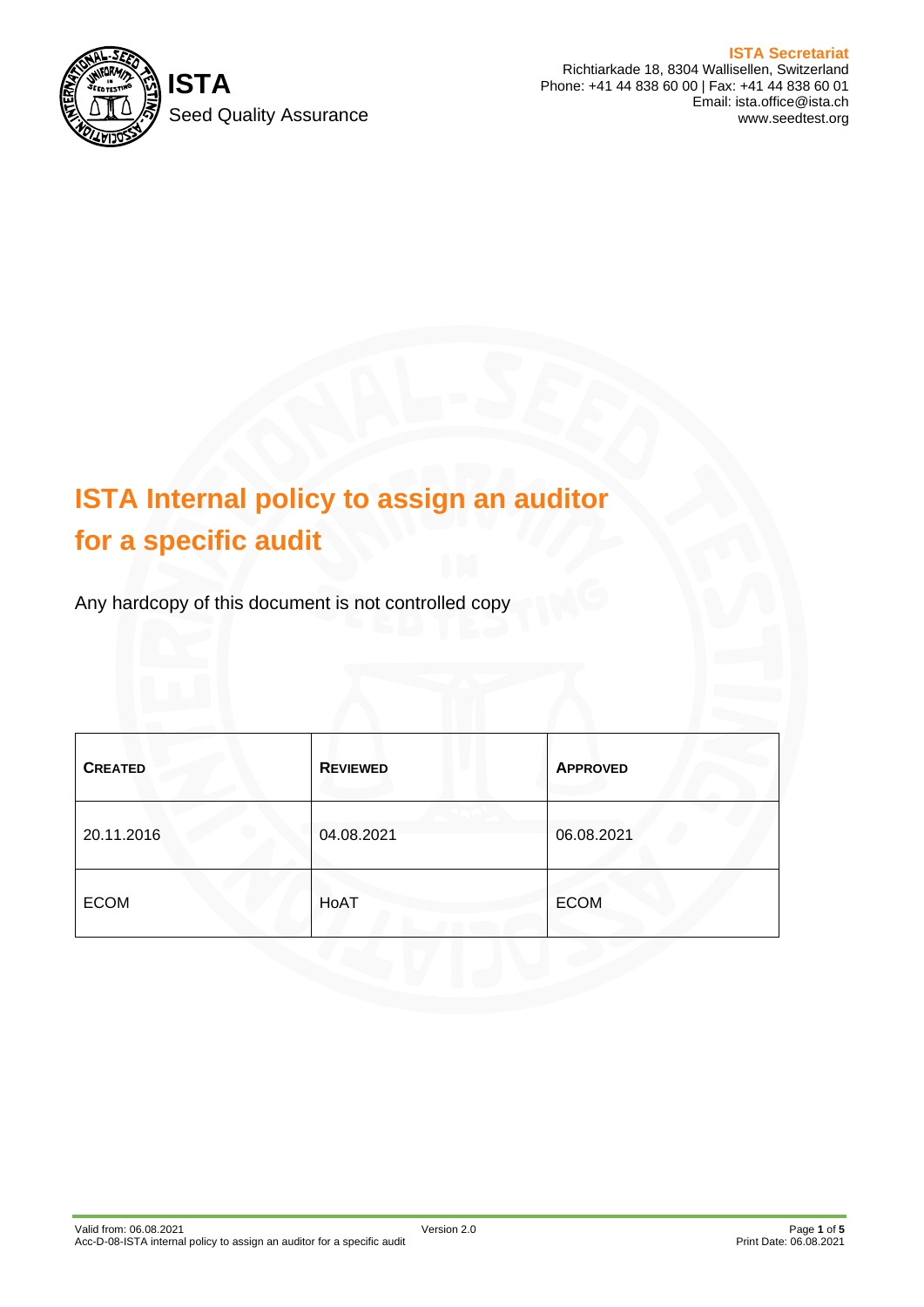

**ISTA Secretariat** Richtiarkade 18, 8304 Wallisellen, Switzerland Phone: +41 44 838 60 00 | Fax: +41 44 838 60 01 Email: ista.office@ista.ch www.seedtest.org

# **ISTA Internal policy to assign an auditor for a specific audit**

Any hardcopy of this document is not controlled copy

| <b>CREATED</b> | <b>REVIEWED</b> | <b>APPROVED</b> |
|----------------|-----------------|-----------------|
| 20.11.2016     | 04.08.2021      | 06.08.2021      |
| <b>ECOM</b>    | HoAT            | <b>ECOM</b>     |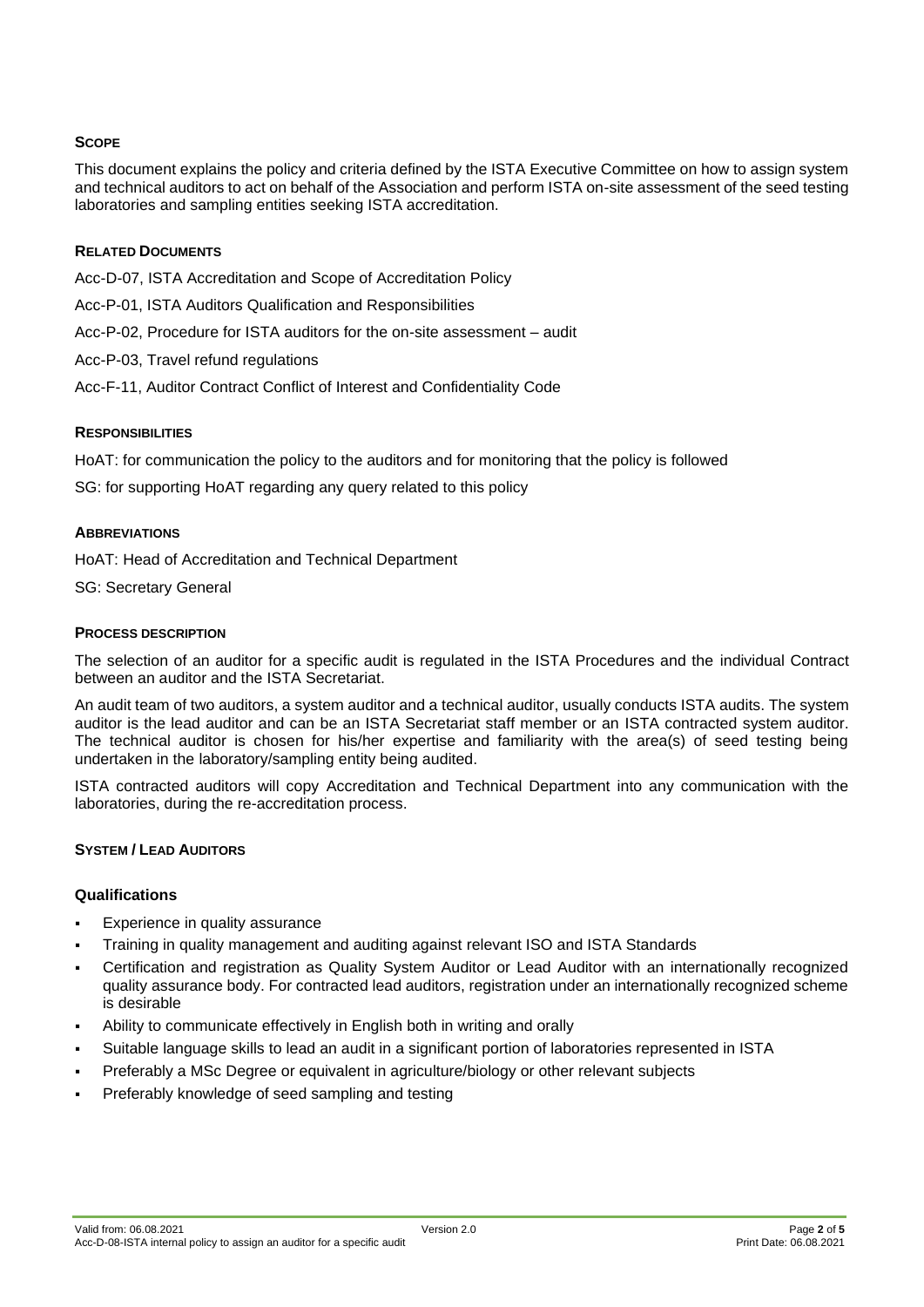#### **SCOPE**

This document explains the policy and criteria defined by the ISTA Executive Committee on how to assign system and technical auditors to act on behalf of the Association and perform ISTA on-site assessment of the seed testing laboratories and sampling entities seeking ISTA accreditation.

#### **RELATED DOCUMENTS**

Acc-D-07, ISTA Accreditation and Scope of Accreditation Policy

- Acc-P-01, ISTA Auditors Qualification and Responsibilities
- Acc-P-02, Procedure for ISTA auditors for the on-site assessment audit
- Acc-P-03, Travel refund regulations
- Acc-F-11, Auditor Contract Conflict of Interest and Confidentiality Code

## **RESPONSIBILITIES**

HoAT: for communication the policy to the auditors and for monitoring that the policy is followed

SG: for supporting HoAT regarding any query related to this policy

#### **ABBREVIATIONS**

HoAT: Head of Accreditation and Technical Department

SG: Secretary General

#### **PROCESS DESCRIPTION**

The selection of an auditor for a specific audit is regulated in the ISTA Procedures and the individual Contract between an auditor and the ISTA Secretariat.

An audit team of two auditors, a system auditor and a technical auditor, usually conducts ISTA audits. The system auditor is the lead auditor and can be an ISTA Secretariat staff member or an ISTA contracted system auditor. The technical auditor is chosen for his/her expertise and familiarity with the area(s) of seed testing being undertaken in the laboratory/sampling entity being audited.

ISTA contracted auditors will copy Accreditation and Technical Department into any communication with the laboratories, during the re-accreditation process.

#### **SYSTEM / LEAD AUDITORS**

#### **Qualifications**

- Experience in quality assurance
- Training in quality management and auditing against relevant ISO and ISTA Standards
- Certification and registration as Quality System Auditor or Lead Auditor with an internationally recognized quality assurance body. For contracted lead auditors, registration under an internationally recognized scheme is desirable
- Ability to communicate effectively in English both in writing and orally
- Suitable language skills to lead an audit in a significant portion of laboratories represented in ISTA
- Preferably a MSc Degree or equivalent in agriculture/biology or other relevant subjects
- Preferably knowledge of seed sampling and testing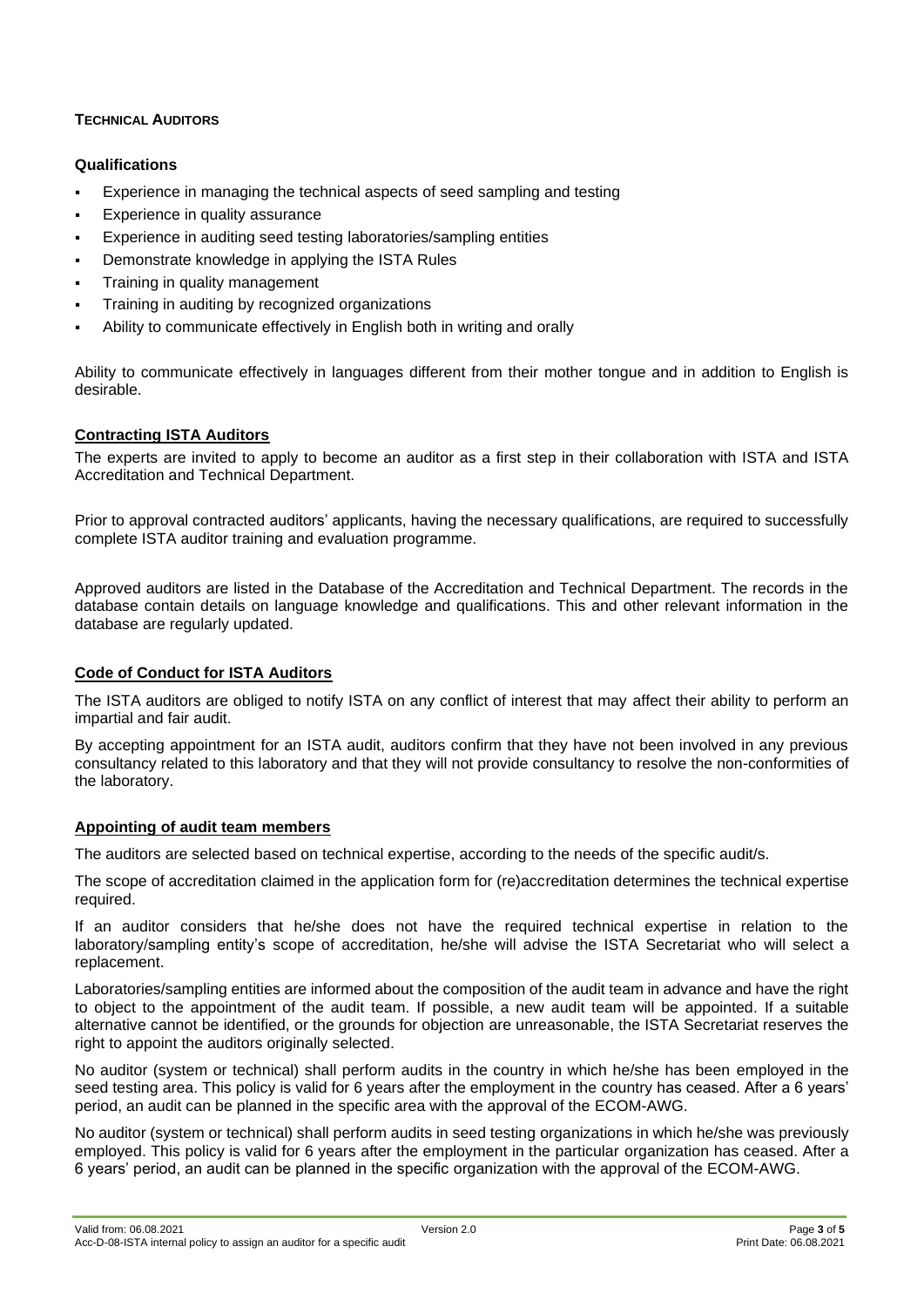## **TECHNICAL AUDITORS**

## **Qualifications**

- Experience in managing the technical aspects of seed sampling and testing
- Experience in quality assurance
- Experience in auditing seed testing laboratories/sampling entities
- Demonstrate knowledge in applying the ISTA Rules
- Training in quality management
- Training in auditing by recognized organizations
- Ability to communicate effectively in English both in writing and orally

Ability to communicate effectively in languages different from their mother tongue and in addition to English is desirable.

## **Contracting ISTA Auditors**

The experts are invited to apply to become an auditor as a first step in their collaboration with ISTA and ISTA Accreditation and Technical Department.

Prior to approval contracted auditors' applicants, having the necessary qualifications, are required to successfully complete ISTA auditor training and evaluation programme.

Approved auditors are listed in the Database of the Accreditation and Technical Department. The records in the database contain details on language knowledge and qualifications. This and other relevant information in the database are regularly updated.

#### **Code of Conduct for ISTA Auditors**

The ISTA auditors are obliged to notify ISTA on any conflict of interest that may affect their ability to perform an impartial and fair audit.

By accepting appointment for an ISTA audit, auditors confirm that they have not been involved in any previous consultancy related to this laboratory and that they will not provide consultancy to resolve the non-conformities of the laboratory.

#### **Appointing of audit team members**

The auditors are selected based on technical expertise, according to the needs of the specific audit/s.

The scope of accreditation claimed in the application form for (re)accreditation determines the technical expertise required.

If an auditor considers that he/she does not have the required technical expertise in relation to the laboratory/sampling entity's scope of accreditation, he/she will advise the ISTA Secretariat who will select a replacement.

Laboratories/sampling entities are informed about the composition of the audit team in advance and have the right to object to the appointment of the audit team. If possible, a new audit team will be appointed. If a suitable alternative cannot be identified, or the grounds for objection are unreasonable, the ISTA Secretariat reserves the right to appoint the auditors originally selected.

No auditor (system or technical) shall perform audits in the country in which he/she has been employed in the seed testing area. This policy is valid for 6 years after the employment in the country has ceased. After a 6 years' period, an audit can be planned in the specific area with the approval of the ECOM-AWG.

No auditor (system or technical) shall perform audits in seed testing organizations in which he/she was previously employed. This policy is valid for 6 years after the employment in the particular organization has ceased. After a 6 years' period, an audit can be planned in the specific organization with the approval of the ECOM-AWG.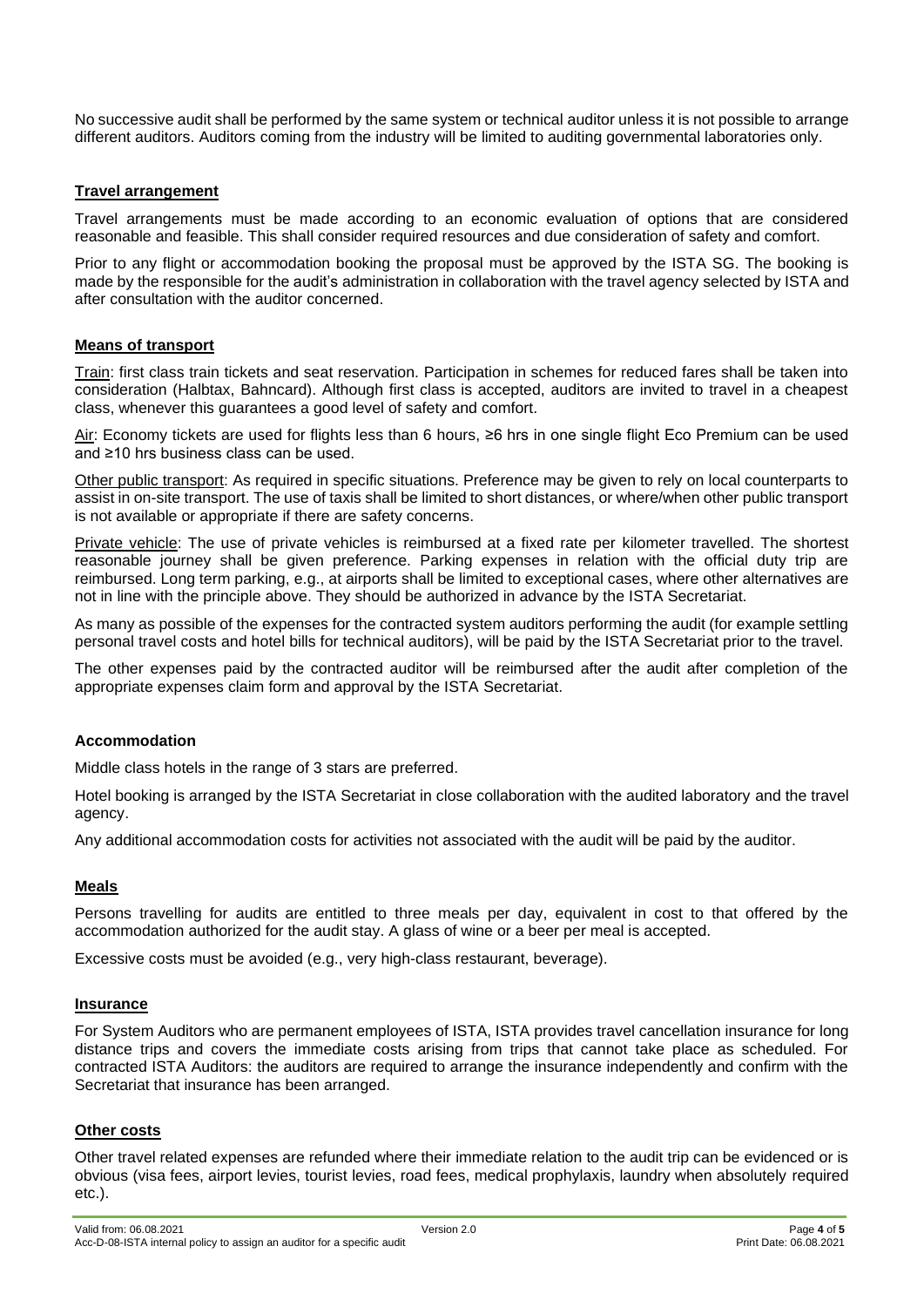No successive audit shall be performed by the same system or technical auditor unless it is not possible to arrange different auditors. Auditors coming from the industry will be limited to auditing governmental laboratories only.

#### **Travel arrangement**

Travel arrangements must be made according to an economic evaluation of options that are considered reasonable and feasible. This shall consider required resources and due consideration of safety and comfort.

Prior to any flight or accommodation booking the proposal must be approved by the ISTA SG. The booking is made by the responsible for the audit's administration in collaboration with the travel agency selected by ISTA and after consultation with the auditor concerned.

#### **Means of transport**

Train: first class train tickets and seat reservation. Participation in schemes for reduced fares shall be taken into consideration (Halbtax, Bahncard). Although first class is accepted, auditors are invited to travel in a cheapest class, whenever this guarantees a good level of safety and comfort.

Air: Economy tickets are used for flights less than 6 hours, ≥6 hrs in one single flight Eco Premium can be used and ≥10 hrs business class can be used.

Other public transport: As required in specific situations. Preference may be given to rely on local counterparts to assist in on-site transport. The use of taxis shall be limited to short distances, or where/when other public transport is not available or appropriate if there are safety concerns.

Private vehicle: The use of private vehicles is reimbursed at a fixed rate per kilometer travelled. The shortest reasonable journey shall be given preference. Parking expenses in relation with the official duty trip are reimbursed. Long term parking, e.g., at airports shall be limited to exceptional cases, where other alternatives are not in line with the principle above. They should be authorized in advance by the ISTA Secretariat.

As many as possible of the expenses for the contracted system auditors performing the audit (for example settling personal travel costs and hotel bills for technical auditors), will be paid by the ISTA Secretariat prior to the travel.

The other expenses paid by the contracted auditor will be reimbursed after the audit after completion of the appropriate expenses claim form and approval by the ISTA Secretariat.

#### **Accommodation**

Middle class hotels in the range of 3 stars are preferred.

Hotel booking is arranged by the ISTA Secretariat in close collaboration with the audited laboratory and the travel agency.

Any additional accommodation costs for activities not associated with the audit will be paid by the auditor.

#### **Meals**

Persons travelling for audits are entitled to three meals per day, equivalent in cost to that offered by the accommodation authorized for the audit stay. A glass of wine or a beer per meal is accepted.

Excessive costs must be avoided (e.g., very high-class restaurant, beverage).

#### **Insurance**

For System Auditors who are permanent employees of ISTA, ISTA provides travel cancellation insurance for long distance trips and covers the immediate costs arising from trips that cannot take place as scheduled. For contracted ISTA Auditors: the auditors are required to arrange the insurance independently and confirm with the Secretariat that insurance has been arranged.

#### **Other costs**

Other travel related expenses are refunded where their immediate relation to the audit trip can be evidenced or is obvious (visa fees, airport levies, tourist levies, road fees, medical prophylaxis, laundry when absolutely required etc.).